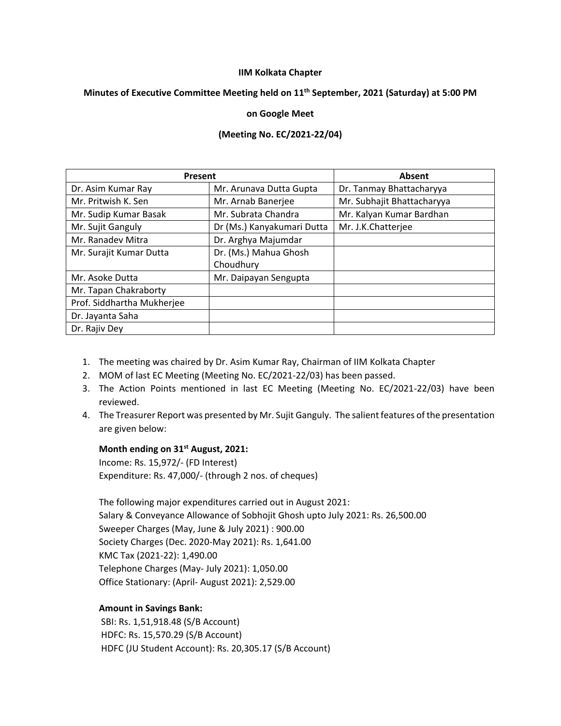#### **IIM Kolkata Chapter**

### **Minutes of Executive Committee Meeting held on 11 th September, 2021 (Saturday) at 5:00 PM**

### **on Google Meet**

# **(Meeting No. EC/2021-22/04)**

| Present                    |                            | Absent                     |
|----------------------------|----------------------------|----------------------------|
| Dr. Asim Kumar Ray         | Mr. Arunava Dutta Gupta    | Dr. Tanmay Bhattacharyya   |
| Mr. Pritwish K. Sen        | Mr. Arnab Banerjee         | Mr. Subhajit Bhattacharyya |
| Mr. Sudip Kumar Basak      | Mr. Subrata Chandra        | Mr. Kalyan Kumar Bardhan   |
| Mr. Sujit Ganguly          | Dr (Ms.) Kanyakumari Dutta | Mr. J.K.Chatterjee         |
| Mr. Ranadev Mitra          | Dr. Arghya Majumdar        |                            |
| Mr. Surajit Kumar Dutta    | Dr. (Ms.) Mahua Ghosh      |                            |
|                            | Choudhury                  |                            |
| Mr. Asoke Dutta            | Mr. Daipayan Sengupta      |                            |
| Mr. Tapan Chakraborty      |                            |                            |
| Prof. Siddhartha Mukherjee |                            |                            |
| Dr. Jayanta Saha           |                            |                            |
| Dr. Rajiv Dey              |                            |                            |

- 1. The meeting was chaired by Dr. Asim Kumar Ray, Chairman of IIM Kolkata Chapter
- 2. MOM of last EC Meeting (Meeting No. EC/2021-22/03) has been passed.
- 3. The Action Points mentioned in last EC Meeting (Meeting No. EC/2021-22/03) have been reviewed.
- 4. The Treasurer Report was presented by Mr. Sujit Ganguly. The salient features of the presentation are given below:

# **Month ending on 31st August, 2021:**

Income: Rs. 15,972/- (FD Interest) Expenditure: Rs. 47,000/- (through 2 nos. of cheques)

The following major expenditures carried out in August 2021: Salary & Conveyance Allowance of Sobhojit Ghosh upto July 2021: Rs. 26,500.00 Sweeper Charges (May, June & July 2021) : 900.00 Society Charges (Dec. 2020-May 2021): Rs. 1,641.00 KMC Tax (2021-22): 1,490.00 Telephone Charges (May- July 2021): 1,050.00 Office Stationary: (April- August 2021): 2,529.00

# **Amount in Savings Bank:**

SBI: Rs. 1,51,918.48 (S/B Account) HDFC: Rs. 15,570.29 (S/B Account) HDFC (JU Student Account): Rs. 20,305.17 (S/B Account)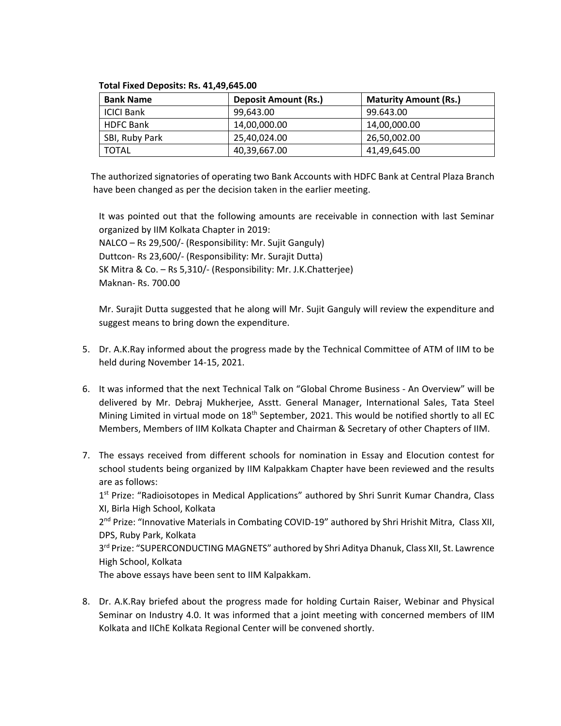| <b>Bank Name</b>  | <b>Deposit Amount (Rs.)</b> | <b>Maturity Amount (Rs.)</b> |
|-------------------|-----------------------------|------------------------------|
| <b>ICICI Bank</b> | 99.643.00                   | 99.643.00                    |
| <b>HDFC Bank</b>  | 14,00,000.00                | 14,00,000.00                 |
| SBI, Ruby Park    | 25,40,024.00                | 26,50,002.00                 |
| <b>TOTAL</b>      | 40,39,667.00                | 41,49,645.00                 |

#### **Total Fixed Deposits: Rs. 41,49,645.00**

 The authorized signatories of operating two Bank Accounts with HDFC Bank at Central Plaza Branch have been changed as per the decision taken in the earlier meeting.

It was pointed out that the following amounts are receivable in connection with last Seminar organized by IIM Kolkata Chapter in 2019: NALCO – Rs 29,500/- (Responsibility: Mr. Sujit Ganguly) Duttcon- Rs 23,600/- (Responsibility: Mr. Surajit Dutta) SK Mitra & Co. – Rs 5,310/- (Responsibility: Mr. J.K.Chatterjee) Maknan- Rs. 700.00

Mr. Surajit Dutta suggested that he along will Mr. Sujit Ganguly will review the expenditure and suggest means to bring down the expenditure.

- 5. Dr. A.K.Ray informed about the progress made by the Technical Committee of ATM of IIM to be held during November 14-15, 2021.
- 6. It was informed that the next Technical Talk on "Global Chrome Business An Overview" will be delivered by Mr. Debraj Mukherjee, Asstt. General Manager, International Sales, Tata Steel Mining Limited in virtual mode on 18<sup>th</sup> September, 2021. This would be notified shortly to all EC Members, Members of IIM Kolkata Chapter and Chairman & Secretary of other Chapters of IIM.
- 7. The essays received from different schools for nomination in Essay and Elocution contest for school students being organized by IIM Kalpakkam Chapter have been reviewed and the results are as follows: 1<sup>st</sup> Prize: "Radioisotopes in Medical Applications" authored by Shri Sunrit Kumar Chandra, Class XI, Birla High School, Kolkata 2<sup>nd</sup> Prize: "Innovative Materials in Combating COVID-19" authored by Shri Hrishit Mitra, Class XII, DPS, Ruby Park, Kolkata 3<sup>rd</sup> Prize: "SUPERCONDUCTING MAGNETS" authored by Shri Aditya Dhanuk, Class XII, St. Lawrence High School, Kolkata

The above essays have been sent to IIM Kalpakkam.

8. Dr. A.K.Ray briefed about the progress made for holding Curtain Raiser, Webinar and Physical Seminar on Industry 4.0. It was informed that a joint meeting with concerned members of IIM Kolkata and IIChE Kolkata Regional Center will be convened shortly.